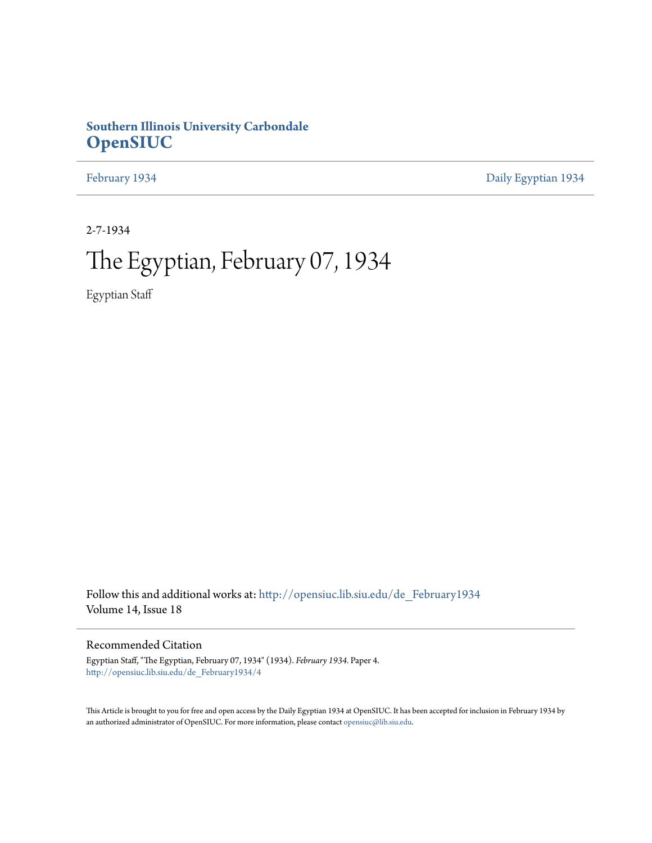## **Southern Illinois University Carbondale [OpenSIUC](http://opensiuc.lib.siu.edu?utm_source=opensiuc.lib.siu.edu%2Fde_February1934%2F4&utm_medium=PDF&utm_campaign=PDFCoverPages)**

[February 1934](http://opensiuc.lib.siu.edu/de_February1934?utm_source=opensiuc.lib.siu.edu%2Fde_February1934%2F4&utm_medium=PDF&utm_campaign=PDFCoverPages) [Daily Egyptian 1934](http://opensiuc.lib.siu.edu/de_1934?utm_source=opensiuc.lib.siu.edu%2Fde_February1934%2F4&utm_medium=PDF&utm_campaign=PDFCoverPages)

2-7-1934

# The Egyptian, February 07, 1934

Egyptian Staff

Follow this and additional works at: [http://opensiuc.lib.siu.edu/de\\_February1934](http://opensiuc.lib.siu.edu/de_February1934?utm_source=opensiuc.lib.siu.edu%2Fde_February1934%2F4&utm_medium=PDF&utm_campaign=PDFCoverPages) Volume 14, Issue 18

## Recommended Citation

Egyptian Staff, "The Egyptian, February 07, 1934" (1934). *February 1934.* Paper 4. [http://opensiuc.lib.siu.edu/de\\_February1934/4](http://opensiuc.lib.siu.edu/de_February1934/4?utm_source=opensiuc.lib.siu.edu%2Fde_February1934%2F4&utm_medium=PDF&utm_campaign=PDFCoverPages)

This Article is brought to you for free and open access by the Daily Egyptian 1934 at OpenSIUC. It has been accepted for inclusion in February 1934 by an authorized administrator of OpenSIUC. For more information, please contact [opensiuc@lib.siu.edu.](mailto:opensiuc@lib.siu.edu)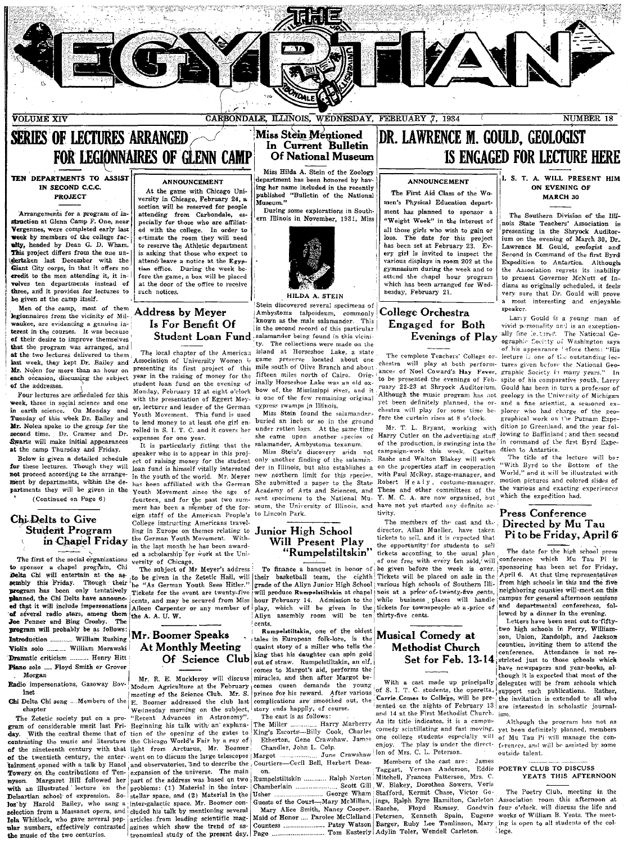

**SERIES OF LECTURES ARRANGED FOR LEGIONNAIRES OF GLENN CAMP** 

TEN DEPARTMENTS TO ASSIST IN SECOND C.C.C. PROJECT

Arrangements for a program of instruction at Glenn Camp F. One, near Vergennes, were completed early last week by members of the college facplty, headed by Dean G. D. Wham. This project differs from the one undertaken last December with the Giant City corps, in that it offers no credit to the men attending it, it involves ten departments instead of three, and it provides for lectures to be given at the camp itself.

Men of the camp, most of them legionnaires from the vicinity of Milwaukee, are evidencing a genuine interest in the courses. It was because of their desire to improve themselves that the program was arranged, and at the two lectures delivered to them last week, they kept Dr. Bailey and Association of University Women is Mr. Nolen for more than an hour on presenting its first project of this each occasion, discussing the subject year in the raising of money for the of the addresses.

Four lectures are scheduled for this week, three in social science and one in earth science. On Monday and Tuesday of this week Dr. Bailey and Mr. Nolen spoke to the group for the ar. Noten spoke to the group for the<br>second time. Dr. Cramer and Dr.<br>Swartz will make initial appearances at the camp Thursday and Friday.

Below is given a detailed schedule for these lectures. Though they will not proceed according to the arrangement by departments, within the departments they will be given in the (Continued on Page 6)

## Chi Delts to Give **Student Program**

The first of the social organizations to sponsor a chapel program, Chi Delta Chi will entertain at the assembly this Friday. Though their<br>program has been only tentatively planned, the Chi Delts have announced that it will include impersonations of several radio stars, among them<br>Joe Penner and Bing Crosby. The program will probably be as follows: Introduction ............ William Rushing Violin solo .......... William Morawski Dramatic criticism ......... Henry Hitt Piano solo .... Floyd Smith or Grover Morgan Radio impersonations, Gasoway Bov-

inet

Chi Delta Chi song .... Members of the chapter

The Zetetic society put on a program of considerable merit last Fri- Beginning his talk with an explanaday. With the central theme that of tion of the opening of the gates to contrasting the music and literature the Chicago World's Fair by a ray of of the nineteenth century with that light from Arcturus, Mr. Boomer of the twentieth century, the enter- went on to discuss the large telescopes tainment opened with a talk by Hazel and observatories, and to describe the Courtiers-Cecil Bell, Herbert Deas-Towery on the contributions of Tennyson. with an illustrated lecture on the problems: (1) Material in the inter-<br>Delsartian school of expression. So-stellar space, and (2) Material in the los by Harold Bailey, who sang a inter-galactic space. Mr. Boomer conselection from a Massanet opera, and cluded his talk by mentioning several Tola Whitlock, who gave several popular numbers, effectively contrasted azines which show the trend of asthe music of the two centuries.

## **ANNOUNCEMENT**

At the game with Chicago University in Chicago, February 24, a section will be reserved for people attending from Carbondale, especially for those who are affiliated with the college. In order to<br>estimate the room they will need to reserve the Athletic department is asking that those who expect to attend/leave a notice at the Egyptian office. During the week before the game, a box will be placed at the door of the office to receive such notices.

## **Address by Mever** Is For Benefit Of

The local chapter of the American student loan fund on the evening of Monday, February 12 at eight o'clock with the presentation of Eggert Meyer, lecturer and leader of the German Vouth Movement This fund is used to lend money to at least one girl enrolled in S. I. T. C. and it covers her expenses for one year.

It is particularly fitting that the speaker who is to appear in this project of raising money for the student loan fund is himself vitally interested in the youth of the world. Mr. Mever has been affiliated with the German Youth Movement since the age of fourteen, and for the past two summers has been a member of the foreign staff of the American People's College instructing Americans travelling in Europe on themes relating to in Chapel Friday the German Youth Movement. Within the last month he has been awarded a scholarship for work at the University of Chicago.

The subject of Mr Meyer's address "As German Youth Sees Hitler." he Tickets for the event are twenty-five cents, and may be secured from Miss cents, and may be secured from miss about repriary 14. Admission to the particle of play, which will be given in the particle of  $\sigma$  in the given in the given in the given in the given in the given in the given in the se

## Mr. Boomer Speaks **At Monthly Meeting**

Modern Agriculture at the February comes queen demands the meeting of the Science Club. Mr. S. Boomer addressed the club last Ë. Wednesday morning on the subject, story ends happily, of course. "Recent Advances in Astronomy" expansion of the universe. The main Margaret Hill followed her part of the address was based on two men-ganacute space. an. Dounes con-<br>
eluded his talk by mentioning several Mary Alice Smith, Nancy Cooper. Rasche, Ployd Ramsey, Goodwin four o'clock, will diseuss the life and<br>
eluded his talk by mentioning several Mary A

## Miss Stein Mentioned In Current Bulletin **Of National Museum**

Miss Hilda A. Stein of the Zoology department has been honored by having her name included in the recently published "Bulletin of the National Museum."

During some explorations in Southern Illinois in November, 1931. Miss



HILDA A STEIN

Stein discovered several specimens of Ambystoma talpoideum, commonly known as the male salamander This is the second record of this particular Student Loan Fund salamander being found in this vicini-The collections were made on the island at Horseshoe Lake, a state located about one game preserve mile south of Olive Branch and about fifteen miles north of Cairo. Originally Horseshoe Lake was an old oxbow of the Mississippi river, and it is one of the few remaining original evpress swamps in Illinois.

Miss Stein found the salamander. buried an inch or so in the ground under rotten logs. At the same time<br>she came upon another species of salamander, Ambystoma texanum.

Miss Stein's discovery ands not only another finding of the salamander in Illinois, but also establishes a new northern limit for this species. She submitted a paper to the State Academy of Arts and Sciences, and sent specimens to the National Museum, the University of Illinois, and to Lincoln Park.

## Junior High School Will Present Play "Rumpelstiltskin"

To finance a banquet in honor of to be given in the Zetetic Hall, will their basketball team, the eighth Tickets will be placed on sale in the grade of the Allyn Junior High School will produce Rumpelstiltskin at chapel hour February 14. Admission to the cents.

Rumpelstiltskin, one of the oldest Musical Comedy at quaint story of a miller who tells the king that his daughter can spin gold Of Science Club | king that the thequestilistic an elf. comes to Margot's aid, performs the Mr. R. E. Muckleroy will discuss miracles, and then after Margot bevounz prince for his reward. After various complications are smoothed out, the

The cast is as follows: Etherton Gene Crawshaw, James Chandler, John L. Colp.

June Crawshaw Margot ................

Usher ...

## DR. LAWRENCE M. GOULD. GEOLOGIST **IS ENGAGED FOR LECTURE HERE**

## ANNOUNCEMENT

The First Aid Class of the Women's Physical Education department has planned to sponsor a "Weight Week" in the interest of all those girls who wish to gain or lose. The date for this project has been set at February 23. Every girl is invited to inspect the various displays in room 202 at the gymnasium during the week and to attend the chanel hour program which has been arranged for Wednesday, February 21.

## College Orchestra Engaged for Both Evenings of Play

The complete Teachers' College orchestra will play at both performances of Noel Coward's Hay Fever, to be presented the evenings of February 22-23 at Shryock Auditorium. Although the music program has not chestra will play for some time before the curtain rises at 8 o'clock.

Mr. T. L. Bryant, working with Harry Cutler on the advertising staff of the production, is swinging into the campaign-work this week. Carlton<br>Rashe and Walton Blakey will work on the properties staff in cooperation with Paul McRoy, stage-manager, and Robert Healy, costume-manager.<br>These and other committees of the Y. M. C. A. are now organized, but have not yet started any definite ac tivity.

The members of the cast and the director, Allan Mueller, have taken tickets to sell, and it is expected that the opportunity for students to sell tickets according to the usual plan of one free with every ten sold, will be given before the week is over. various high schools of Southern Illinois at a price of twenty-five cents, while business places will handle tickets for townspeople at a price of thirty-five cents.

# **Methodist Church**

With a cast made up principally of S. I. T. C. students, the operetta, support such publications. Rather, Carrie. Comes to College, will be pre-<br>the invitation is extended to all who sented on the nights of February  $13$  are interested in scholastic journaland 14 at the First Methodist Church. ism. As its title indicates, it is a campus comedy scintillating and fast moving, one college students especially will The play is under the directenjov. ion of Mrs. C. L. Peterson.

Members of the cast are: James on the complete the server of the complete one of the complete Rumpelstiltskin ............ Ralph Norton Mitchell, Frances Patterson, Mrs. C. George Wham Stafford, Kermit Chase, Victor Go-Guests of the Court-Mary McMillan, ings, Ralph Eyre Hamilton, Carleton

#### **I. S. T. A. WILL PRESENT HIM** ON EVENING OF MARCH 30

The Southern Division of the Illinois State Teachers' Association is presenting in the Shryock Auditorium on the evening of March 30, Dr. Lawrence M. Gould, geologist and Second in Command of the first Byrd Expedition to Antartica. Although the Association regrets its inability to present Governor McNutt of Indiana as originally scheduled, it feels<br>very sure that Dr. Gould will prove a most interesting and enjoyable speaker.

Larry Gould is a young man of vivid personality and is an exceptionally fine letture?. The National Ge-<br>ographic Society of Washington says of his appearance ! efore them: "His lecture is one of the outstanding lectures given before the National Geographic Society in many years." In spite of his comparative youth, Larry Gould has been in turn a professor of geology in the University of Michigan yet been definitely planned, the or- and a fine scientist, a seasoned explorer who had charge of the geographical work on the Putnam Expedition to Greenland, and the year fol-Jowing to Baffinland: and then second in command of the first Byrd Expedtion to Antartica.

The title of the lecture will be:<br>"With Byrd to the Bottom of the World," and it will be illustrated with motion pictures and colored slides of the various and exacting experiences<br>which the expedition had.

## Press Conference Directed by Mu Tau Pi to be Friday, April 6

The date for the high school press conference which Mu Tau Pi is sponsoring has been set for Friday, April 6. At that time representatives from high schools in this and the five neighboring counties will meet on this campus for general afternoon sessions and departmental conferences, followed by a dinner in the evening.

Letters have been sent out to fiftytwo high schools in Perry, Williamson, Union, Randolph, and Jackson counties, inviting them to attend the conference. Attendance is not re-Set for Feb. 13-14 stricted just to those schools which have newspapers and year-books, although it is expected that most of the delegates will be from schools which

Although the program has not as yet been definitely planned, members of Mu Tau Pi will manage the conferences, and will be assisted by some outside talent.

#### POETRY CLUB TO DISCUSS YEATS THIS AFTERNOON

The Poetry Club, meeting in the Association room this afternoon at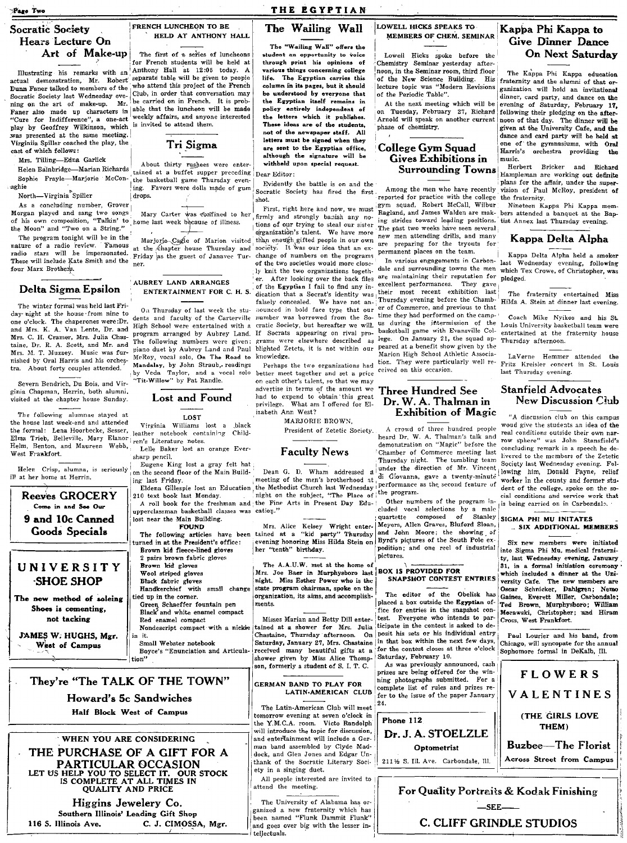**Page Two** 

## Socratic Society Hears Lecture On Art of Make-up

Dunn Faner talked to members of the Socratic Society last Wednesday evening on the art of make-up. Mr. "Cure for Indifference", a one-act play by Geoffrey Wilkinson, which is invited to attend them. was presented at the same meeting. Virginiia Spiller coached the play, the cast of which follows:

Mrs. Tilling-Edna Garlick

Helen Bainbridge-Marian Richards Sophie Frayle-Marjorie McConarhie

North-Virginia Spiller

As a concluding number, Grover Morgan played and sang two songs<br>of his own composition, "Talkin' to home last week because of illness. the Moon" and "Two on a String."

The program tonight will be in the nature of a radio review. Famous stars will be impersonated. radio These will include Kate Smith and the four Marx Brothers.

## Delta Sigma Epsilon

The winter formal was held last Friday night at the house from nine to one o'clock. The chanerones were:Dr. and Mrs. K. A. Van Lente, Dr. and Mrs. C. H. Cramer, Mrs. Julia Chastaine, Dr. R. A. Scott, and Mr. and Mrs. M. T. Muzzey. Music was furnished by Oral Harris and his orchestra. About forty couples attended.

Severn Bendrich, Du Bois, and Virginia Chapman, Herrin, both alumni, visited at the chapter house Sunday.

The following alumnae stayed at the honse last week-end and attended the formal: Lena Hoorbecke, Sesser, Elma Trieb, Belleville, Mary Elanor Helm, Benton, and Maureen Webb, West Frankfort.

Helen Crisp, alumna, is seriously ill at her home at Herrin.

## Reeves GROCERY Come in and See Our 9 and 10c Canned Goods Specials

## UNIVERSITY **SHOE SHOP**

The new method of soleing Shoes is cementing, not tacking

JAMES W. HUGHS, Mgr. West of Campus

116 S. Illinois Ave.

## FRENCH LUNCHEON TO BE HELD AT ANTHONY HALL

The first of a series of luncheons for French students will be held at Illustrating his remarks with an Anthony Hall at 12:05 today. A actual demonstration, Mr. Robert separate table will be given to people who attend this project of the French Club, in order that conversation may be carried on in French. It is prob Faner also made up characters in able that the luncheon will be made weekly affairs, and anyone interested

Tri Sigma

About thirty rushees were entertained at a buffet supper preceding the basketball game Thursday evening. Favors were dolls made of gum drops.

at the *chapter* house Thursday and Friday as the guest of Janavec Tur-

#### AUBREY LAND ARRANGES ENTERTAINMENT FOR C. H. S.

On Thursday of last week the students and faculty of the Carterville High School were entertained with a program arranged by Aubrey Land. The following numbers were given: piano duet by Aubrey Land and Paul McRoy, vocal solo, On The Road to Mandalay, by John Straub, readings by Veda Taylor, and a vocal solo "Tit-Willow" by Pat Randle.

#### Lost and Found

**LOST** 

Virginia Williams lost a black leather notebook containing Children's Literature notes.

Lelle Baker lost an orange Eversharp pencil.

Eugene King lost a gray felt hat on the second floor of the Main Building last Friday.

210 text book last Monday.

upperclassman basketball classes was cation." lost near the Main Building.

**FOUND** 

turned in at the President's office: Brown kid fleece-lined gloves 2 pairs brown fabric gloves Brown kid gloves

Wool striped gloves Błack fabric gloves Handkerchief with small change

tied up in the corner. Green Schaeffer fountain pen<br>Black and white enamel compact Red enamel compact Nondescript compact with a nickle

in it. Small Webster notebook

tion"

C. J. CIMOSSA, Mgr.

## They're "The TALK OF THE TOWN"

Howard's 5c Sandwiches Half Block West of Campus

WHEN YOU ARE CONSIDERING

THE PURCHASE OF A GIFT FOR A

PARTICULAR OCCASION LET US HELP YOU TO SELECT IT. OUR STOCK<br>IS COMPLETE AT ALL TIMES IN<br>QUALITY AND PRICE

Higgins Jewelery Co.

Southern Illinois' Leading Gift Shop

## THE EGYPTIAN The Wailing Wall

The "Wailing Wall" offers the student an opportunity to voice through print his opinions of various things concerning college life. The Egyptian carries this column in its pages, but it should be understood by everyone that the Egyptian itself remains in policy entirely independent of the letters which it publishes. These ideas are of the students, not of the newspaper staff. All letters must be signed when they are sent to the Egyptian office. although the signature will be withheld upon special request.

Dear Editor:

Evidently the battle is on and the Socratic Society has fired the first. shot.

First, right here and now, we must Mary Carter was confined to her firmly and strongly banish any notions of our trying to steal our sister organization's talent. We have more Marjorie-Cagle of Marion visited than eneugh gifted people in our own society. It was our idea that an exchange of numbers on the programs of the two societies would more closely knit the two organizations together. After looking over the back files of the Egyptian I fail to find any indication that a Socrat's identity was<br>falsely concealed. We have not announced in bold face type that our number was borrowed from the Socratic Society, but hereafter we will. If Socrats appearing on rival programs were elsewhere described as blighted Zetets, it is not within our knowledge.

> Perhaps the two organizations had better meet together and set a price on each other's talent, so that we may advertise in terms of the amount we had to expend to obtain this great privilege. What am I offered for Elizabeth Ann West?

MARJORIE BROWN, President of Zetetic Society.

#### **Faculty News**

Dean G. D. Wham addressed a meeting of the men's brotherhood at, Eldena Gillespie lost an Education the Methodist Church last Wednesday! night on the subject, "The Place of the program. A roll book for the freshman and the Fine Arts in Present Day Edu-

Mrs. Alice Kelsey Wright enter-The following articles have been tained at a "kid party" Thursday evening honoring Miss Hilda Stein on her "tenth" birthday.

> The A.A.U.W. met at the home of Mrs. Joe Baer in Murphysboro last BOX IS PROVIDED FOR night. Miss Esther Power who is the state program chairman, spoke on the organization, its aims, and accomplishments.

Misses Marian and Betty Dill entertained at a shower for Mrs. Julia<br>Chastaine, Thursday afternoon. On Saturday, January 27, Mrs. Chastaine received many beautiful gifts at a shower given by Miss Alice Thompson, formerly a student of S. I. T. C.

#### **GERMAN BAND TO PLAY FOR** LATIN-AMERICAN CLUB

The Latin-American Club will meet tomorrow evening at seven o'clock in the Y.M.C.A. room. Victo Randolph will introduce the topic for discussion, and entertainment will include a German band assembled by Clyde Maddock, and Glen Jones and Edgar Un-<br>thank of the Socratic Literary Society in a singing duet.

All people interested are invited to attend the meeting.

The University of Alabama has organized a new fraternity which has been named "Flunk Dammit Flunk" and goes over big with the lesser intellectuals.

#### LOWELL HICKS SPEAKS TO **MEMBERS OF CHEM. SEMINAR**

Lowell Hicks spoke before the Chemistry Seminar yesterday after-<br>noon, in the Seminar room, third floor of the New Science Building. His lecture topic was "Modern Revisions of the Periodic Table".

At the next meeting which will be on Tuesday, February 27, Richard Arnold will speak on another current phase of chemistry.

## College Gym Squad Gives Exhibitions in **Surrounding Towns**

Among the men who have recently reported for practice with the college gym squad, Robert McCall, Wilbur Ragland, and James Walden are making strides toward leading positions. The past two weeks have seen several new men attending drills, and many are preparing for the tryouts for permanent places on the team.

In various engagements in Carbondale and surrounding towns the men are maintaining their reputation for They gave excellent performances. their most recent exhibition last Thursday evening before the Chamber of Commerce, and previous to that time they had performed on the campus during the intermission of the basketball game with Evansville College. On January 21, the squad appeared at a benefit show given by the Marion High School Athletic Association. They were particularly well received on this occasion.

## **Three Hundred See** Dr. W. A. Thalman in **Exhibition of Magic**

A crowd of three hundred people<br>heard Dr. W. A. Thalman's talk and demonstration on "Magic" before the Chamber of Commerce meeting last Thursday night. The tumbling team under the direction of Mr. Vincent di Giovanna, gave a twenty-minute performance as the second feature of

Other numbers of the program included vocal selections by a male quartette composed  $\mathbf{o}^t$ Stanley Meyers, Allen Graves, Bluferd Sloan, and John Moore: the showing of Byrd's pictures of the South Pole expedition; and one reel of industrial pictures.

## SNAPSHOT CONTEST ENTRIES

The editor of the Obelisk has placed a box outside the Egyptian office for entries in the snapshot contest. Everyone who intends to participate in the contest is asked to deposit his sets or his individual entry in that box within the next few days, for the contest closes at three o'clock Saturday, February 10.

As was previously announced, cash<br>prizes are being offered for the winning photographs submitted. For a complete list of rules and prizes refer to the issue of the paper January 24.



## Kappa Phi Kappa to Give Dinner Dance **On Next Saturday**

The Kappa Phi Kappa education fraternity and the alumni of that organization will hold an invitational dinner, card party, and dance on the<br>evening of Saturday, February 17. following their pledging on the afternoon of that day. The dinner will be given at the University Cafe, and the dance and card party will be held at one of the gymnasiums, with Oral Harris's orchestra providing music.

Herbert Bricker and Richard Hampleman are working out definite plans for the affair, under the supervision of Paul McRoy, president of the fraternity.

Nineteen Kappa Phi Kappa members attended a banquet at the Baptist Annex last Thursday evening.

## Kappa Delta Alpha

Kappa Delta Alpha held a smoker last Wednesday evening, following<br>which Tex Crowe, of Christopher, was pledged.

The fraternity entertained Miss Hilda A. Stein at dinner last evening.

Coach Mike Nyikos and his St. Louis University basketball team were entertained at the fraternity house Thursday afternoon.

LaVerne Hemmer attended the Fritz Kreisler concert in St. Louis last Thursday evening.

#### **Stanfield Advocates New Discussion Club**

"A discussion club on this campus woud give the students an idea of the real conditions outside their own narrow sphere" was John Stansfield's concluding remark in a speech he delivered to the members of the Zetetic Society last Wednesday evening. Following him, Donald Payne, relief worker in the county and former student of the college, spoke on the social conditions and service work that is being carried on in Carbondale.

SIGMA PHI MU INITATES . SIX ADDITIONAL MEMBERS

Six new members were initiated into Sigma Phi Mu, medical fraternity, last Wednesday evening, January 31, in a formal initiation ceremony which included a dinner at the University Cafe. The new members are Oscar Schnicker, Dahlgren; Nemo<br>Gaines, Everett Miller, Carbondale; Ted Brown, Murphysboro; William Morawski, Christopher; and Hiram Cross, West Frankfort.

Paul Lourier and his band, from Chicago, will syncopate for the annual Sophomore formal in DeKalb, Ill.

**FLOWERS** VALENTINES (THE GIRLS LOVE THEM)

**Buzbee-The Florist** Across Street from Campus



# Boyce's "Enunciation and Articula-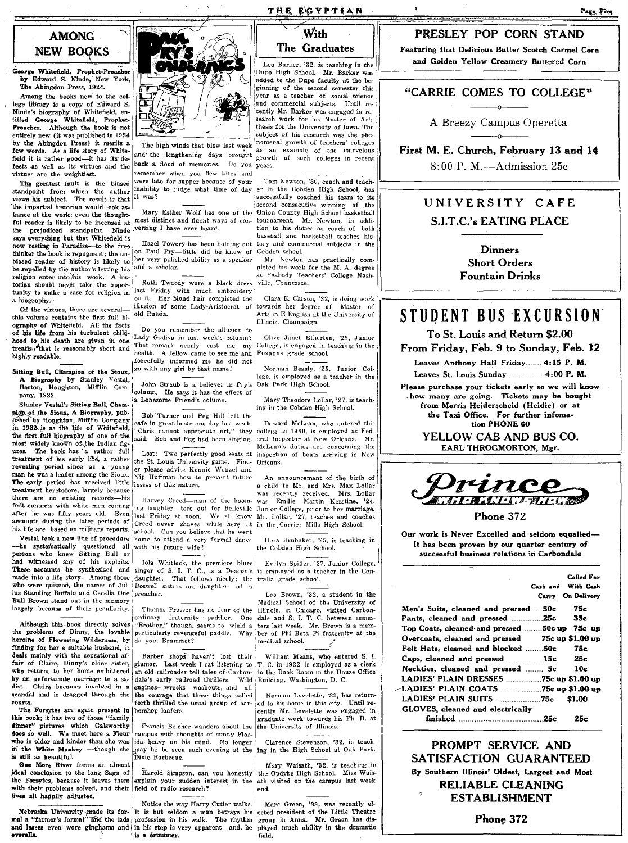## **AMONG NEW BOOKS**

Georgo Whitofield, Prophet-Pread.or by Edward S. Ninde, New York, The Abingdon Press, 1924\_

Among the books new to the college library is a copy of Edward S.<br>Ninde's biography of Whitefield, en-<br>titled George Whitefield, Prophet-Preacher. Although the book is not entirely new (it was published in 1924 by the Abingdon Press) it merits a few words. As a life story of Whitefield it is rather good-it has its defects as well as its virtues and the virtues are the weightiest.

The greatest fault is the biased standpoint from which the author views his subject. The result is that the impartial historian would look as-<br>
kance at the work; even the thought- Mary Esther Wolf has one of the Union County High School basketball kance at the work; even the thought. Mary Esther Wolf has one of the iUnion County High School basketball<br>ful reader is likely to be incensed at most distinct and fluent ways of con-tournament. Mr. Newton, in addi-<br>the pr the prejudiced standpoint. Ninde versing I have ever heard. The tion to his duties as coach of both that Whitefield is says everything but that Whitefield is<br>now resting in Paradise-to the free thinker the book is repugnant; the un- on Paul Pry-little did he know of Cobden school.<br>hissed reader of history is likely to her very polished ability as a speaker. Mr. Newton has practically combiased reader of history is likely to  $\frac{1}{1}$  her very polished ability as a speaker Mr. Newton has practically com-<br>be repelled by the author's letting his and a scholar. pleted his work for the M. A. degree be repelled by the author's letting his and a scholar. pleted his work for the M. A. degree later and a scholar. pleted his work for the M. A. degree later at Peabody Teachers' College Nashthe property of the state of the Alisbon enter into this work. A his-<br>torian should negler take the opportunity to make a case for religion in the state of the property of the state of the state of the state of the state o

this volume contains the first full bi-  $\frac{1}{2}$ <sup>old Russia.</sup> : Arts in E English at  $\frac{1}{2}$  Arts in English at  $\frac{1}{2}$ ography of Whitefiekl. All the facts IlhnOls, ChampaIgn. of his life from his turbulent child- $\begin{bmatrix}$  Do you remember the allusion 'o<br>this life from his turbulent child- $\begin{bmatrix}$  Do you remember the allusion 'o Olive Janet Etherton, '29, Junior hood to his death are given in one Lady Godiva in last week's column? Olive Janet Etherton, '29, Junior<br>treatise that is reasonably short and That remark nearly cost me my College, is engaged in teaching in the

A Biography by Stanley Vestal,<br>Boston, Houghton, Mifflin Com-

 $p$ ion of the Sioux, A Biography, pub· Bob Turner and Peg Hill left the listed by Houghton, Mifflin Company in 1932 is as the life of Whiteheld, "Chris cannot appreciate art," they college in 1930, is employed as Fed-<br>the first full biography of one of the said. Bob and Peg had been singing. eral Inspector at New Orleans. Mr.<br>m ures. The book has a rather full Lost: Two perfectly good seats at inspection of boats arriving in New<br>treatment of his early life, a rather the St. Louis University game. Find: Orleans treatment of his early life, a rather  $\vert$  the St. Louis University game. Find- Orleans.<br>revealing period since as a young or please advise Konnie Wound and revealing period since as a young er please advise Kennie Wenzel and man he was a leader among the Sioux. Nin Huffman heut to proven future The early period has received little losses of this nature.<br>
treatment heretofore, largely because a child to Mr. and Mrs. Max Lollar<br>
treatment heretofore, largely because treatment heretofore, largely because I was records-<br>there are no existing records--his Harvey Creed--man of the boom 'was received. Mrs. Lollar there are no existing records--his Harvey Creed--man of the boom 'was Emilie first contacts with white men coming ing laughter-tare out for Belleville Junior College, prior to her marriage.<br> **After he was fifty years old.** Even last Friday at noon. We all know Mr. Lollar, '27, teaches and coaches after he was fifty years old. Even  $\vert$  last Friday at noon. We all know accounts during the later periods of Creed never shaves while here at accounts during the later periods of Creed never shaves while here at in the Carrier Mills High School.<br>his life are based on military reports. school. Can use this with the wave

-he systematically questioned all with his future wife?<br>persons who knew Sitting Bull or had witnessed any of his exploits. I Iola Whitlock, the premicre blues Evolyn Spiller, '27, Junior College, These accounts he synthesized and singer of S. I. T. C., is a Deacon's is employed as a teacher in the Cenmade into a life story. Among those daughter. That follows nicely; the tralia grade school.<br>who were quizzed, the names of Jul- Boswell sisters are daughters of 3 ius Standing Buffalo and Cecelia One, preacher.<br>
Bull Brown, stand out in the memory and Cecelia One, preacher.<br>
Medical School of the University of

Although this book directly solves "Brother," though, seems to wield a ters last week. Mr. Brown is a mem-<br>the problems of Dinny, the lovable particularly revengeful paddle. Why ber of Phi Beta Pi fraternity at the<br>heroin finding for her a suitaMe husband, it \_\_\_ i \_\_\_ • heroine of Flowering Wilderness, by deals mainly with the sensational af-<br> **I** Barber shops- haven't lost their<br> **Iair of Claire, Dinny's older sister, glamor. Last week I sat listening to** fair of Claire, Dinny's older sister, glamor. Last week I sat listening to T. C. in 1932, is employed as a clerk<br>who returns to her home embittered an old railroader tell tales of Carbon- in the Book Room in the House Offi by an unfortunate marriage to a sa- dale's early railroad thrillers. Wild dist. Claire becomes involved in a engines--wrecks--washouts, and all

dinner" pictures which Galsworthy Francis Belcher wanders about the the University of Illinois.  $\frac{1}{100}$  does so well. We meet here a Fleur campus with thoughts of sunny Florwho is older and kinder than she was ida, heavy on his mind. No longer Clarence Stevenson, '32, is teach in the High School at Oak Park.

lives all happily adjusted.

Nebraska University made its for- It is but seldom a man betrays his mal a "farmer's formal" and the lads profession in his walk. The rhythm and lasses even wore ginghams and in his step is very apparent-and, he overaIla. \



back a flood of memories. Do you years. remember when you flew kites and j<br>were late for supper because of your it was?

Hazel Towery has been holding out tory and commercial subjects in the on Paul Prv—little did he know of Cohden school.

Of the virtues, there are several-<br>Of the virtues, there are several-<br>conditions on the virtues of a condition of the virtues of a condition of the virtues of  $\Delta t$  and  $\Delta t$  are  $\Delta t$ .

noon w ins death are given in one That remark nearly cost me my College, is engaged in teaching in the treatise that is reasonably short and health. A fellow came to see me and Roxanna grade school.<br>highly readable.

John Straub is a believer in Pry's Oak Park High School. pany, 1932. **Example 2011** 1941 column. He says it has the effect of pany, 1932.

school. Can you believe that he went Vestal took a new line of procedure  $\vert$  home to attend a very formal dance Dora Brubaker, '25, is teaching in the systematically questioned all, with his future wife? the Cobden High School.

engines-wrecks-washouts, and all increase in a contract the courage that these things called Norman Lovelette, 32, has returnseandal and is dragged through the the courage that these things called courts.

who is older and kinder than she was ida, heavy on his mind. No longer Clarence Stevenson, '32, is teaching the White Monkey --- though she may he be seen each evening at the ing in the High School at Oak Park.<br>
She More R

explain your sudden interest in the ath visited on the campus last week<br>field of radio research?<br>end. with their problems solVed, and their field of radio l'esearch?· end.

> Notice the way Harry Cutler walks. is a drummer.

## THE EGYPTIAN

## With The Graduates

Leo Barker, '32, is teaching in the Duno High School. Mr. Barker was added to the Dupo faculty at the beginning of the second semester this and commercial subjects. Until reear as a teacher of social science cently Mr. Barker was engaged in research work for his Master of Arts thesis for the University of Iowa. The subject of his research was the phe-<br>nomenal growth of teachers' colleges The high winds that blew last week nomenal growth of teachers' colleges!<br>d' the lengthening days brought growth of such colleges in recent

Tom Newton, '30, coach and teachto judge what time of day, er in the Cobden High School, has successfully coached his team to its

5iHina' Bul1, C'::;:-n 'of the Sioux •. go with any girl by that name! Norman Beasly, '25, Junior. Col

pany, 1932.<br>
Stanley Vestal's Sitting Bull, Cham- is Lonesome Friend's column.<br>
Mary Theodore Lollar, '27, is teach-<br>
ing in the Cobden High School.

ushed hy Houghton, Multhn Company cafe in great haste one day last week. Deward McLean, who entered this in 1930, is as the life of Whitefield, "Chris cannot appreciate art," they college in 1930, is employed as Fedmost more interesting the Indian figures are concerning the

Nip Huffman how to prevent future An announcement of the birth of

Bull Brown stand out in the memory I and the Marketin of the University of largely because of their peculiarity. Thomas Prosser has no fear of the Illinois, in Chicago, visited Carbonlargely because of their peculiarity. Thomas Prosser has no fear of the Illinois, in Chicago, visited Carbon-<br>|crdinary fraternity paddler. One dale and S. I. T. C. between semes-<br>Altheugh this book directly solves "Brothe

an old railroader tell tales of Carbon- in the Book Room in the House Office dale's early railroad thrillers. Wild Building, Washington, D. C.

courts. <sup>1</sup> forth thrilled the usual group of bar- ied to his home in this city. Until re-<br>The Forsytes are again present in leershop loafers.<br>The Forsytes are again present in leershop loafers. The Forsytes are again present in bershop loafers.<br>
this book; it has two of those "family and the community and the practice work towards his Ph. D. at<br>
dinner" pictures which Galaworthy Francis Belcher wanders about the

Given the River forms an almost and the long Saga of Mary Waisath, 192, is teaching in the Deckel conclusion to the long Saga of Harold Simpson, can you honestly the Opdyke High School. Miss Wais- Ithe Porsy School. Miss W

Marc Green, '33, was recently elected president of the Little Theatre group in Anna. Mr. Green has dis played much ability in the dramatic field\_

## PRESLEY POP CORN STAND

Featuring that Delicious Butter Scotch Carmel Corn Leo Barker, '32, is teaching in the and Golden Yellow Creamery Buttered Corn Dupo High School. Mr. Barker was 1

# "CARRIE COMES TO COLLEGE"

A Breezy Campus Operetta

First M. E. Church, February 13 and 14 8:00 P. M.--Admission 25c

## UNIVERSITY CAFE S.I.T.C.'s EATING PLACE

Dinners Short Orders

## STUDENT BUS EXCURSION

To St. Louis and Return \$2.00

From Friday, Feb. 9 to Sunday, Feb. 12

Leaves Anthony Hall Friday........ 4:15 P. M.

Leaves St. Louis Sunday ...............4:00 P. M.

Please purchase your tickets early so we will know how many are going. Tickets may be bought from Morris Heiderscheid (Heidie) or at the Taxi Office. For further infomation PHONE 60

> YELLOW CAB AND BUS CO. EARl; THROGMORTON, Mgr.



Phone 372

Our work is Never Excelled and seldom equalled-It has been proven by our quarter century of successful business relations in Carbondale

|                                                 | Called For<br>Cash and With Cash<br>Carry On Delivery |
|-------------------------------------------------|-------------------------------------------------------|
| Men's Suits, cleaned and pressed 50c            | 75с                                                   |
| Pants, cleaned and pressed 25c                  | 35с                                                   |
| Top Coats, cleaned and pressed 50c up 75c up    |                                                       |
| Overcoats, cleaned and pressed 75c up \$1.00 up |                                                       |
| Felt Hats, cleaned and blocked 50c              | 75c                                                   |
| Caps, cleaned and pressed 15c 25c               |                                                       |
| Neckties, cleaned and pressed  5c 10e           |                                                       |
| LADIES' PLAIN DRESSES 75c up \$1.00 up          |                                                       |
| $-$ LADIES' PLAIN COATS 75c up \$1.00 up        |                                                       |
|                                                 | S1.00                                                 |
| <b>GLOVES, cleaned and electrically</b>         |                                                       |
|                                                 | 25c                                                   |

PROMPT SERVICE AND SATISFACTION GUARANTEED By Southern Illinois' Oldest, Largest and Moat RELIABLE CLEANING ESTABLISHMENT

Phone 372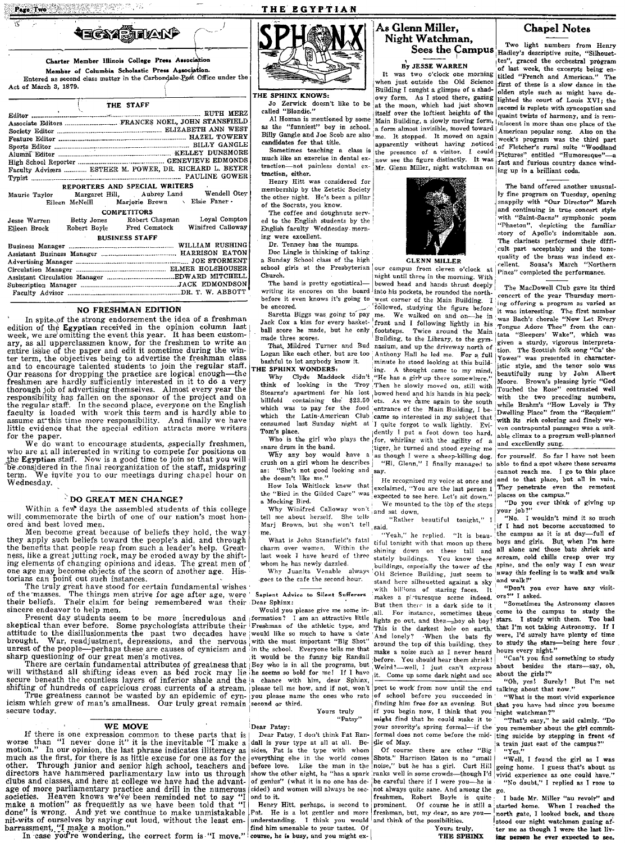Page Two Services

Act of March 3, 1879.

 $S<sub>1</sub>$ 

## THE EGYPTIAN



#### THE SPHINX KNOWS:

Jo Zerwick doesn't like to be called "Blondie."

Al Homan is mentioned by some as the "funniest" boy in school. candidates for that title.

Sometimes teaching a class is much like an exercise in dental extraction-not painless dental extraction. either.

Henry Hitt was considered for membership by the Zetetic Society the other night. He's been a pillar of the Socrats, you know.

The coffee and doughnuts serv ed to the English students by the English faculty Wednesday morning were excellent.

Dr. Tenney has the mumps

Doc Lingle is thinking of taking a Sunday School class of the high school girls at the Presbyterian Church.

The band is pretty egotisticalbefore it even knows it's going to be encored.

Saretta Biggs was going to pay ball score he made, but he only made three scores.

That, Mildred Turner and Bud Logan like each other, but are too bashful to let anybody know it. HE SPHINX WONDERS.

Why Clyde Maddock didn't think of looking in the Troy Stearns's apartment for his lost billfold containing the \$23.50 which was to pay for the food the Latin-American Club which Tom's place.

Who is the girl who plays the snare drum in the band.

Why any boy would have a<br>crush on a girl whom he describes "She's not good looking and as: she doesn't like me."

How Iola Whitlock knew that the "Bird in the Gilded Cage" was a Mocking Bird.

Why Winifred Calloway won't tell me about herself. She tells Marj Brown, but she won't tell me

What is John Stansfield's fatal charm over women. Within the last week I have heard of three whom he has newly dazzled.

Why Juanita Venable always goes to the cafe the second hour.

Sapient Advice to Silent Sufferers

Would you please give me some in-I am an attractive little formation? with the most important "Big Shot"

Yours truly "Patsy"

Dear Patav:

Dear Patsy, I don't think Pat Randall is your type at all at all. Beof genius" (what it is no one has decided) and women will always be second to it.

Pat. He is a lot gentler and more understanding. I think you would and think of the possibilities.

## As Glenn Miller. Night Watchman.

By JESSE WARREN

It was two o'clock one morning<br>when just outside the Old Science Building I caught a glimpse of a shadowy form. As I stood there, gazing at the moon, which had just shown<br>itself over the loftiest heights of the Main Building, a slowly moving form, a form almost invisible, moved toward Billy Gangle and Joe Scob are also me. It stopped. It moved on again apparently without having noticed the presence of a visitor. I could Pictures" entitled "Humoresque" now see the figure distinctly. It was Mr. Glenn Miller, night watchman on

**GLENN MILLER** 

our campus from eleven o'clock night until three in the morning. With bowed head and hands thrust deeply writing its encores on the board into his pockets, he rounded the northwest corner of the Main Building. I followed, studying the figure before We walked on and on-he in me. Jack Cox a kiss for every basket- front and I following lightly in his footsteps. Twice around the Main Building, to the Library, to the gymnasium, and up the driveway north of Anthony Hall he led me. For a full minute he stood looking at this building. A thought came to my mind, "He has a girl up there somewhere." Then he slowly moved on, still with bowed head and his hands in his pockets. As we came again to the south entrance of the Main Building, I became so interested in my subject that consumed last Sunday night at I quite forgot to walk lightly. Evidently I put a foot down too hard. for, whirling with the agility of a tiger, he turned and stood eyeing me as though I were a sheep-killing dog.

"Hi, Glenn," I finally managed to say. He recognized my voice at once and exclaimed, "You are the last person I

expected to see here. Let's sit down." We mounted to the top of the steps and sat down.

"Rather beautiful tonight," I hiez.

'Yeah," he replied. "It is beautiful tonight with that moon up there shining down on these tall and stately buildings. You know these buildings, especially the tower of the Okl Science Building, just seem to stand here silhouetted against a sky with billions of staring faces.  $\mathbf{I}$ makes a picturesque scene indeed. ors?" I asked.<br>But then their is a dark side to it "Sometimes all. For instance, sometimes these lights go out, and then-boy oh boy! This is the darkest hole on earth. And lonely? -When the bats fly around the top of this building, they make a noise such as I never heard before. You should hear them shriek! Weird?--well, I just can't express it. Come up some dark night and see

if you begin now, I think that you might find that he could make it to your sorority's spring formal---if the dle of May.

Of course there are other "Big"<br>Shots." Harrison Eaton is no "small noise," but he has a girl. Curt Hill ranks well in some crowds—though I'd be careful there if I were you-–<br>he is not always quite sane. And among the go. freshmen, Robert Boyle is quite prominent. Of course he is still a freshman, but, my dear, so are you-

Yours truly.

THE SPHINX

## **Chapel Notes**

Two light numbers from Henry Sees the Campus Hadley's descriptive suite, "Silhouettes", graced the orchestral program of last week, the excerpts being en-<br>titled "French and American." The The first of these is a slow dance in the olden style such as might have delighted the court of Louis XVI; the second is replete with syncopation and quaint twists of harmony, and is reminiscent in more than one place of the American popular song. Also on the week's program was the third part of Fletcher's rural suite "Woodland fast and furious country dance winding up in a brilliant coda.

> The hand offered another unusual. ly fine program on Tuesday, opening snappily with "Our Director" .<br>March and continuing in true concert style<br>with "Saint-Saens" symphonic poem "Phaeton", depicting the familiar<br>story of Apollo's indomitable son. The clarinets performed their difficult part acceptably and the tone-<br>quality of the brass was indeed ex-<br>cellent. Sousa's March "Northern Pines" completed the performance.

The MacDowell Club gave its third concert of the year Thursday morning offering a program as varied as it was interesting. The first number<br>was Bach's chorale "Now Let Every" Tongue Adore Thee" from the can-"Sleepers' Wake", which was İtata<sup>1</sup> given a sturdy, vigorous interpretation. The Scottish folk song "Ca' the Yowes" was presented in characteristic style, and the tenor solo was beautifully sung by John Albert Moore. Brown's pleasing lyric "God<br>Touched the Rose" contrasted well vith the two preceding numbers,<br>while Brahm's "How Lovely is Thy<br>Dwelling Place" from the "Requiem" with its rich coloring and finely woven contrapuntal passages was a suitable climax to a program well-planned and excellently sung.

for yourself. So far I have not been able to find a spot where those screams cannot reach me. I go to this place and to that place, but all in vain, They penetrate even the remotest<br>places on the campus."

"Do you ever think of giving up<br>your job?"

"No. I wouldn't mind it so much if I had not become accustomed to the campus as it is at day-full of<br>boys and girls. But when I'm here<br>all alone and those bats shriek and scream, cold chills creep over my spine, and the only way I can wear away this feeling is to walk and walk and walk!"

"Don't you ever have any visit-

"Sometimes the Astronomy classes come to the campus to study the I study with them. Too bad stars. that I'm not taking Astronomy. If  $I$ were, I'd surely have plenty of time to study the stars-being here four hours every night."

"Can't you find something to study about besides the stars-say, oh, about the girls?"

"Oh, yes! Surely! But I'm not<br>talking about that now."

"What is the most vivid experience finding him free for an evening. But that you have had since you became night watchman?"

"That's easy," he said calmly. "Do you remember about the girl commitformal does not come before the mid- ting suicide by stepping in front of a train just east of the campus?' "Yes."

"Well, I found the girl as I was going home. I guess that's about as vivid experience as one could have." "No doubt," I replied as I rose to

I bade Mr. Miller "au revoir" and started home. When I reached the north gate, I looked back, and there stood our night watchman gazing after me as though I were the last living person he ever expected to see.

|  | THE STAFF                                                                                              |  |
|--|--------------------------------------------------------------------------------------------------------|--|
|  |                                                                                                        |  |
|  | Associate Editors  FRANCES NOEL, JOHN STANSFIELD                                                       |  |
|  |                                                                                                        |  |
|  |                                                                                                        |  |
|  |                                                                                                        |  |
|  |                                                                                                        |  |
|  |                                                                                                        |  |
|  | Faculty Advisers  ESTHER M. POWER, DR. RICHARD L. BEYEF                                                |  |
|  |                                                                                                        |  |
|  | REPORTERS AND SPECIAL WRITERS                                                                          |  |
|  | Maurie Taylor Margaret Hill, Aubrey Land Wendell Otey<br>Eileen McNeill Marjorie Brown > Elsie Faner . |  |
|  | <b>COMPETITORS</b>                                                                                     |  |
|  | Jesse Warren Betty Jones Robert Chapman Loyal Compton                                                  |  |
|  | Eileen Brock Robert Boyle Fred Comstock Winifred Calloway                                              |  |
|  | <b>BUSINESS STAFF</b>                                                                                  |  |
|  |                                                                                                        |  |
|  |                                                                                                        |  |
|  |                                                                                                        |  |
|  |                                                                                                        |  |
|  |                                                                                                        |  |
|  |                                                                                                        |  |
|  |                                                                                                        |  |

**⋪⊒©≥?(∰∏∤∆∖∖**<sup>0</sup>

Charter Member Illinois College Press Association

Member of Columbia Scholastic Press Agsociation.

Entered as second class matter in the Carbondale Post Office under the

#### **NO FRESHMAN EDITION**

In spite of the strong endorsement the idea of a freshman edition of the Egyptian received in the opinion column last week, we are omitting the event this year. It has been customary, as all upperclassmen know, for the freshmen to write an entire issue of the paper and edit it sometime during the winter term, the objectives being to advertise the freshman class and to encourage talented students to join the regular staff. Our reasons for dropping the practice are logical enough—the freshmen are hardly sufficiently interested in it to do a very it comment of advertising themselves. Almost every year the responsibility has fallen on the sponsor of the project and on<br>responsibility has fallen on the sponsor of the project and on<br>face regular staff. In the second pl assume at this time more responsibility. And finally we have<br>little evidence that the special edition attracts more writers for the paper.

We do want to encourage students, aspecially freshmen, who are at all interested in writing to compete for positions on the Egyptian staff. Now is a good time to join so that you will be considered in the final reorganization of the staff, midspring We invite you to our meetings during chapel hour on term. Wednesday.

## DO GREAT MEN CHANGE?

Within a few days the assembled students of this college will commemorate the birth of one of our nation's most honored and best loved men.

Men become great because of beliefs they hold, the way they apply such beliefs toward the people's aid, and through<br>the benefits that people reap from such a leader's help. Greatness, like a great jutting rock, may be eroded away by the shifting elements of changing opinions and ideas. The great men of one age may become objects of the scorn of another age. Historians can point out such instances.

The truly great have stood for certain fundamental wishes of the masses. The things men strive for age after age, were 'Sapient Advitheir beliefs. Their claim for being remembered was their Dear Sphinx: sincere endeavor to help men.

Present day students seem to be more incredulous skeptical than ever before. Some psychologists attribute their Freshman of the athletic type, and attitude to the disillusionments the past two decades have would like so much to have a date War, readjustment, depressions, and the nervous brought. mest of the people—perhaps these are causes of cynicism and in the schol. Everyone tells me that<br>sharp questioning of our great men's motives.<br>There are certain fundamental attributes of greatness that Boy who is in all th

will withstand all shifting ideas even as bed rock may lie he seems so bold for me! If I have secure beneath the countless layers of inferior shale and the a chance with him, dear Sphinx,

shifting of hundreds of capricious cross currents of a stream. please tell me how, and if not, won't peet to work from now until the end<br>True greatness cannot be wasted by an epidemic of cyn- you please name the ones who r secure today.

#### WE MOVE

**WE MOVE**<br>If there is one expression common to these parts that is<br>worse than "I never done it" it is the inevitable "I make a<br>motion." In our opinion, the last phease indicateworse than "I never done it" it is the inevitable "I make a dall is your type at all at all. Be-<br>motion." In our opinion, the last phrase indicates illiteratory as sides, Pat is the type with whom<br>much as the first, for t dubs and classes, and here at college we have had the advant-<br>age of more parliamentary practice and drill in the numerous<br>societies. Heaven knows we've' been reminded not to say "I<br>make a motion" as frequently as we have nit-wits of ourselves by saying out loud, without the least embarrassment, "I make a motion."

harrassment, "I make a motion." | find him amenable to your tastes. Of In case you're wondering, the correct form is "I move." course, he is busy, and you might ex-

Henry Hitt, perhaps, is second to

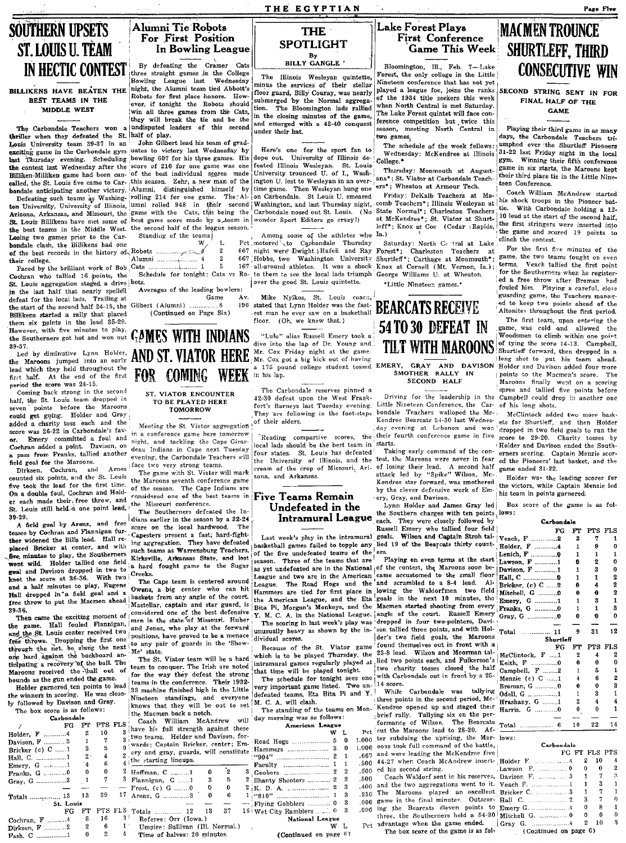THE EGYPTIAN

**THE** 

**SPOTLIGHT** 

By<br>BILLY GANGLE'

The Illinois Wesleyan quintette,

minus the services of their stellar

floor guard, Billy Couray, was nearly

submerged by the Normal aggrega

tion. The Bloomington lads rallied<br>in the closing minutes of the game,

and emerged with a 42-40 conquest

Here's one for the sport fan to

dope out. University of Illinois de-

feated Illinois Wesleyan. St. Louis

University trounced U. of I., Wash-

ington U. lost to Weslevan in an over-

time game. Then Wesleyan hung one

Among some of the athletes who

Mike Nyikos, St. Louis coach,

"Lulu" alias Russell Emery took a

Mr. Cox Friday night at the game.

Mr. Cox got a big kick out of having

stated that Lynn Holder was the fast-

Pet motored to Carbondale Thursday<br>667 night were Dwight JHafeli and Ray

667 Hobbs, two Washington University

 $167$  all-around athletes. It was a shock

over the good St. Louis quintette.

floor. (Oh, we knew that.)

under their hat.

Lake Forest Plays **First Conference** Game This Week

Bloomington, Ill., Feb. 7-Lake Forest, the only college in the Little Nineteen conference that has not vet played a league foe, joins the ranks of the 1934 title seekers this week when North Central is met Saturday. The Lake Forest quintet will face conference competition but twice this season, meeting North Central in two games,

The schedule of the week follows Wednesday: McKendree at Illinois College.\*

Thursday: Monmouth at Augustans\*: St. Vistor of Carbondale Teachers\*: Wheaton at Armour Tech.

Friday: DeKalh Teachers at Malumni rolled 948 in their second Washington, and last Thursday night, comb Teachers\*; Illinois Wesleyan at the Cats, this being the Carbondale nosed out St. Louis. (No State Normal\*; Charleston Teachers and last Thursday n at McKendree\*; St. Viator at Shurtleff\*; Knox at Coe (Cedar (Rapids,  $Ia.$ 

Saturday: North Central at Lake Forest\*; Charleston Teachers at Shurtleff\*; Carthage at Monmouth\*; Knox at Cornell (Mt. Vernon, Ia.); George Williams U. at Wheaton.

\*Little Nineteen games.\*



#### SMOTHER RALLY IN **SECOND HALF**

Driving for the leadership in the Little Nineteen Conference, the Carbondale Teachers walloped the Mc-Kendree Bearcats 54-30 last Wednesday evening at Lebanon and won Reading compartive scores, the their fourth conference game in five

University of Illinois, and the test, the Maroons were never in fear cream of the crop of Missouri, Ari- of losing their lead. A second half attack led by "Spike" Wilson, Mc-Kendree star forward, was smothered by the clever defensive work of Em-

Lynn Holder and James Gray led the Southern charges with ten points lows:

Russell Emery who tallied four field basketball games failed to topple any lied 19 of the Bearcats thirty count-

with Carbondale out in front by a 25-

While Carbondale was tallying .500 44-27 when Coach McAndrew insert- Holder F.

.500  $.400$ 250 The Maroons played an excellent Bricker C.  $_{.000}^{.200}$  game in the final minutes. Outscor- Hall C.

 $.000$ 

The box score of the game is as fol-

**MACMENTROUNCE SHURTLEFF. THIRD CONSECUTIVE WIN** 

Page Five

SECOND STRING SENT IN FOR FINAL HALF OF THE

## **GAME**

Playing their third game in as many days, the Carbondale Teachers triumphed over the Shurtleff Pioneers 31-22 last Friday night in the local gym. Winning their fifth conference game in six starts, the Maroons kept their third place tie in the Little Nineteen Conference.

Coach William McAndrew started his shock troops in the Pioneer battle. With Carbondale holding a 12-10 lead at the start of the second half, the first stringers were inserted into the game and scored 19 points to clinch the contest.

For the first five minutes of the game, the two teams fought on even terms. Veach tallied the first point for the Southerners when he registered a free throw after Broman had fouled him. Playing a careful, close<br>guarding game, the Teachers managed to keep two points ahead of the Altonites throughout the first period.

The first team, upon entering the game, was cold and allowed the Woodsmen to climb within one point of tying the score 14-13. Campbell, Shurtleff forward, then dropped in a long shot to put his team ahead. a 175 pound college student tossed EMERY, GRAY AND DAVISON Holder and Davison added four more points to the Macmen's score. The Maroons finally went on a scoring<br>spree and tallied five points before Campbell could drop in another one of his long shots.

> McClintock added two more baskets for Shurtleff, and then Holder dropped in two field goals to run the score to 29-20. Charity tosses by Holder and Davison ended the Southerners scoring. Captain Menzie scored the Pioneers' last basket, and the game ended 31-22.

> Holder was the leading scorer for the victors, while Captain Menzie led his team in points garnered.

Box score of the game is as fol-

#### Carbondalo

|                       | FG        | FT           | PTS FLS                 |              |
|-----------------------|-----------|--------------|-------------------------|--------------|
| reach, F 2            |           | 3            | 7                       | 1            |
| Iolder, F 4           |           | 1            | 9                       | 0            |
| enich, F 0            |           | 1            | 1                       | 1            |
| awson, F 1            |           | Đ            | 2                       | Ō            |
| havison, F 1          |           | 1            | 3                       | 0            |
|                       |           | 1            | 1                       | 2            |
| $k$ ricker. (c) $C$ 2 |           | 0            | 4                       | 2            |
| fitchell, G 0         |           | Ô            | 0                       | 2            |
| hmery, G 1            |           | 1            | 3                       | 1            |
| ranks, G 0            |           | 1            | 1                       | 3            |
|                       |           | 0            | o                       | 0            |
|                       |           |              |                         |              |
|                       |           | 9            | 31                      | 12           |
| 'otal                 |           |              |                         |              |
|                       | Shurtleff |              |                         |              |
|                       | RG.       | ፑጥ           | PTS FLS                 |              |
| AcClintock, F 1       |           | 2            | $\overline{\mathbf{4}}$ | 2            |
| .eith. F 0            |           | 0            | 0                       | 0            |
| $2$ ampbell, $F$ 2    |           | $\mathbf{I}$ | 5                       | $\mathbf{1}$ |
| Aenzie (c) C 1        |           | 4            | 6                       | 2            |
| 3roman, G 0           |           | 0            | 0                       | 3            |
| dell, G 1             |           | 1            | 3                       | 1            |
| frashany, G 1         |           | 2            | 4                       | 4            |
| <b>Farris, G 0</b>    |           | 0            | 0                       | 1            |
|                       |           |              |                         |              |
| otal'<br>.            | -6        | 10           | 22                      | 14           |

#### FG FT FLS PTS  $\ldots$ .4  $\overline{2}$ 10 Lawson F.  $\theta$  $\Omega$  $\Omega$  $\mathbf{R}$  $\mathbf{Q}$  $\Omega$  $\mathbf 0$  $\overline{2}$  $10$

(Continued on page 6)

## **Alumni Tie Robots** For First Position In Bowling League

**SOUTHERN UPSETS** 

ST. LOUIS U. TÈAM

**IN HECTIC CONTEST** 

**BILLIKENS HAVE BEATEN THE** 

BEST TEAMS IN THE

MIDDLE WEST

defeat for the local lads. Trailing at

the start of the second half 24-15, the

Billikens started a rally that placed

them six points in the lead 35-29.

Coming back strong in the second

points before the Maroons

Emery committed a foul and

Arnez

half, the St. Louis team dropped in

could get going. Holder and Gray

added a charity toss each and the score was 26-22 in Carbondale's fav-

Cochran added a point. Davison, on

a pass from Franks, tallied another

counted six points, and the St. Louis

five took the lead for the first time.

On a double foul, Cochran and Hold-

er each made their free throw, and

St. Louis still held a one point lead,

A field goal by Arenz, and free

ther widened the Bills lead. Hall re-

placed Bricker at center, and with

five minutes to play, the Southerners

went wild. Holder tallied one field

goal and Davison dropped in two to

knot the score at 36-36. With two

and a half minutes to play, Eugene<br>Hall dropped in a field goal and a

free throw to put the Macmen ahead

Then came the exciting moment of

the game. Hall fouled Flannigan,

and the St. Louis center received two

free throws. Dropping the first one through the next one hard against the backboard an-

ticipating a recovery of the ball. The

Maroons received the ball out of

Holder garnered ten points to lead

Carbondale FG FT

 $\mathbf{0}$ 

 $\boldsymbol{6}$  $\overline{2}$ 

 $\overline{2}$ 

bounds as the gun ended the game.

ly followed by Davison and Gray.

The box score is as follows:

. . . . . . . 3

 $\overline{13}$ 13 39

St. Louis

 ${\bf FG}$ 

 $\frac{1}{a}$ 

Holder, F ...........4

Bricker (c) C ......1

Emery,  $G$  ............1

Franks, G ............0

Gray, G ................3

Cochran, F .........4

Dirksen, F ...........2

Fash, C .................1

Totals ...........

Davison, F.

Hall, C.

period the score was 24-15.

field goal for the Maroons.

Dirksen, Cochran, and

39-37.

seven

 $30 - 29$ 

39-36.

By defeating the Cramer Cats three straight games in the College Bowling League last Wednesday night, the Alumni team tied Ahhott's Robots for first place honors. However, if tonight the Robots should win all three games from the Cats, they will break the tie and be the The Carbondale Teachers won a undisputed leaders of this second thriller when they defeated the St. half of play.

Louis University team 39-37 in an exciting game in the Carbondale gym uates to victory last Wednesday by last Thursday evening. Scheduling bowling 607 for his three games. His the contest last Wednesday after the score of 216 for one game was one of the best individual scores made Billiken-Milliken game had been cancolled, the St. Louis five came to Car-<br>this season. Zehr, a new man of the<br>handale anticinating another victory. Alumni, distinguished himself by Defeating such teams as Washing. The last of the game. The Western hung one Defeating such teams as Washing. rolling 214 for one game. The Al- on Carbondale. St Louis U. smeared ton University, University of Illinois, umni Arizona, Arkansas, and Missouri, the best game score made by a team in wonder Sport Editors go crazy!) St. Louis Billikens have met some of the second half of the league season. the best teams in the Middle West Channels and all the sta

| Losing two games prior to the Car-         | Standing of the teams! |  |
|--------------------------------------------|------------------------|--|
| bondale clash, the Billikens had one       |                        |  |
|                                            |                        |  |
| their college.                             |                        |  |
| Paced by the brilliant work of Bob Cats  1 |                        |  |

Schedule for tonight: Cats vs Ro- to them to see the local lads triumph Cochran who tallied 16 points, the

Averages of the leading bowlers:

Gilbert (Alumni)  $\epsilon$ (Continued on Page Six)

**GAMES WITH INDIANS** AND ST. VIATOR HERE FOR COMING WEEK in his lap.

## TO BE PLAYED HERE **TOMORROW**

Meeting the St. Viator aggregation of their elders. in a conference game here tomorrow<br>night, and tackling the Cape Girardeau Indians in Cape next Tuesday evening, the Carbondale Teachers will

face two very strong teams.<br>The game with St. Viator will mark the Maroons seventh conference game of the season. The Cape Indians are considered one of the best teams in Five Teams Remain

The Southerners defeated the Indians earlier in the season by a 32-24 score on the local hardwood. The tosses by Cochran and Flannigan fur-score on the local natureou. ing aggregation. They have defeated such teams as Warrensburg Teachers, Kirksville, Arkansas State, and lost a hard fought game to the Sugar

> The Cape team is centered around Owens, a big center who can hit baskets from any angle of the court. Mastellar, captain and star guard, is considered one of the best defensive<br>men in the state of Missouri. Huber and Jones, who play at the forward positions, have proved to be a menace Me state.

> team to conquer. The Irish are noted for the way they defeat the strong teams in the conference. Their 1932-33 machine finished high in the Little Nineteen standings, and everyone<br>knows that they will be out to set

|                      |                |                | the Macmen back a notch.                                                                                                                    |    |        |              |
|----------------------|----------------|----------------|---------------------------------------------------------------------------------------------------------------------------------------------|----|--------|--------------|
| alo<br>FТ<br>2<br>1  | PTS<br>10<br>7 | FLS.<br>3<br>3 | Coach William McAndrew<br>have his full strength against these<br>two teams. Holder and Davison, for<br>wards; Captain Bricker, center; Em- |    |        | wil          |
| 3<br>2.<br>$\cdot$ 4 | 5<br>4<br>6    |                | 2 <sup>ory</sup> and gray, guards, will constitute<br>4 the starting lineups.                                                               |    |        |              |
| n                    | O<br>7         |                | 2 Hoffman, C 1<br>3 Flannigan, G 1                                                                                                          | 3  | 2<br>5 |              |
|                      |                |                | $-$ Frost, (c) G 0                                                                                                                          | o  | 0      |              |
| 13<br>is             | 39             |                | 17 Arenz, G 3                                                                                                                               | 0  | 6      |              |
| я                    | PTS<br>16      | २।             | FLS Totals  12<br>Referee: Orr (Iowa.)                                                                                                      | 13 | 37     | $\mathbf{1}$ |

Umpire: Sullivan (Ill. Normal.) Time of halves: 20 minutes.

John Gilbert lead his team of grad-

St. Louis aggregation staged a drive bots. in the last half that nearly spelled

Game Av. 196

However, with five minutes to play the Southerners got hot and won out Led by diminutive Lynn Holder, the Marcons jumped into an early lead which they held throughout the first half. At the end of the first

# ST. VIATOR ENCOUNTER

the Missouri conference.

Creeks.

to any pair of guards in the 'Show

The St. Viator team will be a hard

dividual scores.

that time will be played tonight.

season. Three of the teams that are

League. The Road Hogs and the

The schedule for tonight sees one<br>very important game listed. Two undefeated teams, Eta Bita Pi and Y. M. C. A. will clash.

The standing of the teams on Monday morning was as follows: American League

 $\bar{\mathbf{w}}$ Road Hogs .........  $\frac{5}{3}$  $\mathbf{a}$  $\theta$ 

| $\blacksquare$       |  |
|----------------------|--|
|                      |  |
|                      |  |
| Goobers  2           |  |
| Shanty Shooters  2   |  |
|                      |  |
|                      |  |
| Flying Gobblers  0   |  |
| Wet City Ramblers  0 |  |

National League

 $W$  L (Continued on page 6)

Undefeated in the Intramural League Last week's play in the intramural of the five undefeated teams of the ers.

Playing on even terms at the start as yet undefeated are in the National of the contest, the Maroons soon be-League and two are in the American came accustomed to the small floor and scrambled to a 8-4 lead. Al-Hammers are tied for first place in lowing the Waldorfmen two field<br>the American League, and the Eta goals in the next 10 minutes, the Bita Pi, Morgan's Monkeys, and the Macmen started shooting from every Y. M. C. A. in the National League. angle of the court. Russell Emery The scoring in last week's play was dropped in four two-pointers, Daviunusually heavy as shown by the in- son tallied three points, and with Holder's two field goals, the Marcons Because of the St. Viator game found themselves out in front with a<br>which is to be played Thursday, the 23-8 lead. Wilson and Moorman tal-<br>intramural games regularly played at  $\lim_{x \to a}$  ited two points each, and Fulkerso two charity tosses closed the half

 $: 14 \text{ score.}$ 

.500 ed his second string.

and the two aggregations went to it. Veach F.

006 ing the Bearcats eleven points to Emery G.

four states. St. Louis has defeated zona, and Arkansas.

**Det** 

1.000

local lads should be the best team in starts.

Taking early command of the con-

ery, Gray, and Davison.

each. They were closely followed by

goals. Wilson and Captain Stroh tal-

three points in the second period, Mc-Kendree opened up and staged their brief rally. Tallying six on the per-<br>formance of Wilson. The Bearcats cut the Maroons lead to 28-20. Af- $1.000$  ter subduing the uprising, the Mar- lo oons took full command of the battle, .667 and were leading the McKendree five

Coach Waldorf sent in his reserves, Davison F.

| ach, F 2                   | 3            | 7       | 1              |
|----------------------------|--------------|---------|----------------|
| lder, F 4                  | 1            | 9       | 0              |
| uich, F 0                  | 1            | 1       | 1              |
| $\sqrt{3}$ son, $\bf{F}$ 1 | o            | 2       | 0              |
| vison, F 1                 | 1            | 3       | 0              |
| II, C ………………0              | 1            | 1       | 2              |
| cker (c) C 2               | 0            | 4       | 2              |
| tehell, G 0                | 0            | 0       | $\overline{2}$ |
| ery, G 1                   | 1            | 3       | 1              |
| unks, G 0                  | 1            | 1       | 3              |
| ay, G ……………0               | 0            | o       | 0              |
|                            |              |         |                |
| tal  11                    | 9            | 31      | 12             |
| Shurtleff                  |              |         |                |
| FG                         | FT           | PTS FLS |                |
| Clintock, F 1              | $\mathbf 2$  | 4       | 2              |
|                            |              |         |                |
| ith, F 0                   | 0            | 0       | 0              |
| mpbell, F 2                | $\mathbf{I}$ | 5       | 1              |
| nzie (c) C 1               | 4            | 6       | $\overline{2}$ |
| oman, G 0                  | 0            | 0       | 3              |
| ell. G 1                   | 1            | 3       | 1              |
| ashany, G 1                | 2            | 4       | 4              |
| rris. G 0                  | 0            | 0       | 1              |
|                            |              |         |                |
| tal  6                     | 10           | 22      | 14             |
| 7S:                        |              |         |                |

The Carbondale reserves pinned a 42-30 defeat upon the West Frankfort's Barneys last Tuesday evening. They are following in the foot-steps

the